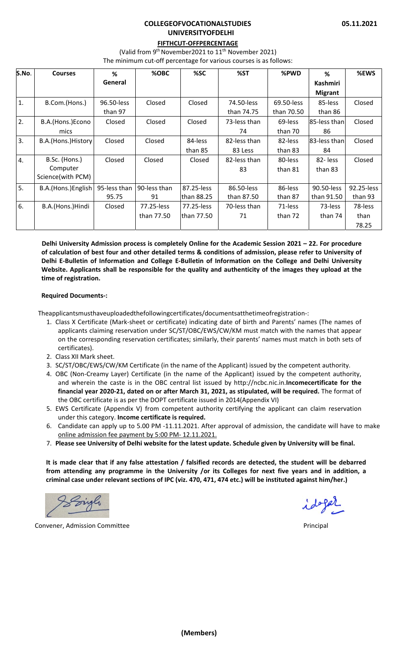## **COLLEGEOFVOCATIONALSTUDIES UNIVERSITYOFDELHI**

# **FIFTHCUT‐OFFPERCENTAGE**

(Valid from  $9<sup>th</sup>$  November2021 to  $11<sup>th</sup>$  November 2021)

The minimum cut-off percentage for various courses is as follows:

| S.No. | <b>Courses</b>      | %            | %OBC         | %SC         | %ST          | %PWD       | %               | %EWS       |
|-------|---------------------|--------------|--------------|-------------|--------------|------------|-----------------|------------|
|       |                     | General      |              |             |              |            | <b>Kashmiri</b> |            |
|       |                     |              |              |             |              |            | <b>Migrant</b>  |            |
| 1.    | B.Com.(Hons.)       | 96.50-less   | Closed       | Closed      | 74.50-less   | 69.50-less | 85-less         | Closed     |
|       |                     | than 97      |              |             | than 74.75   | than 70.50 | than 86         |            |
| 2.    | B.A.(Hons.)Econo    | Closed       | Closed       | Closed      | 73-less than | 69-less    | 85-less than    | Closed     |
|       | mics                |              |              |             | 74           | than 70    | 86              |            |
| 3.    | B.A.(Hons.)History  | Closed       | Closed       | 84-less     | 82-less than | 82-less    | l83-less thanl  | Closed     |
|       |                     |              |              | than 85     | 83 Less      | than 83    | 84              |            |
| 4.    | B.Sc. (Hons.)       | Closed       | Closed       | Closed      | 82-less than | 80-less    | 82-less         | Closed     |
|       | Computer            |              |              |             | 83           | than 81    | than 83         |            |
|       | Science(with PCM)   |              |              |             |              |            |                 |            |
| 5.    | B.A.(Hons.) English | 95-less than | 90-less than | 87.25-less  | 86.50-less   | 86-less    | 90.50-less      | 92.25-less |
|       |                     | 95.75        | 91           | lthan 88.25 | than 87.50   | than 87    | than 91.50      | than 93    |
| 6.    | B.A.(Hons.)Hindi    | Closed       | 77.25-less   | 77.25-less  | 70-less than | 71-less    | 73-less         | 78-less    |
|       |                     |              | than 77.50   | lthan 77.50 | 71           | than 72    | than 74         | than       |
|       |                     |              |              |             |              |            |                 | 78.25      |

**Delhi University Admission process is completely Online for the Academic Session 2021 – 22. For procedure** of calculation of best four and other detailed terms & conditions of admission, please refer to University of Delhi E-Bulletin of Information and College E-Bulletin of Information on the College and Delhi University Website. Applicants shall be responsible for the quality and authenticity of the images they upload at the **time of registration.**

### **Required Documents‐:**

Theapplicantsmusthaveuploadedthefollowingcertificates/documentsatthetimeofregistration‐:

- 1. Class X Certificate (Mark‐sheet or certificate) indicating date of birth and Parents' names (The names of applicants claiming reservation under SC/ST/OBC/EWS/CW/KM must match with the names that appear on the corresponding reservation certificates; similarly, their parents' names must match in both sets of certificates).
- 2. Class XII Mark sheet.
- 3. SC/ST/OBC/EWS/CW/KM Certificate (in the name of the Applicant) issued by the competent authority.
- 4. OBC (Non‐Creamy Layer) Certificate (in the name of the Applicant) issued by the competent authority, and wherein the caste is in the OBC central list issued by http://ncbc.nic.in.**Incomecertificate for the financial year 2020‐21, dated on or after March 31, 2021, as stipulated, will be required.** The format of the OBC certificate is as per the DOPT certificate issued in 2014(Appendix VI)
- 5. EWS Certificate (Appendix V) from competent authority certifying the applicant can claim reservation under this category. **Income certificate is required.**
- 6. Candidate can apply up to 5.00 PM ‐11.11.2021. After approval of admission, the candidate will have to make online admission fee payment by 5:00 PM‐ 12.11.2021.
- 7. Please see University of Delhi website for the latest update. Schedule given by University will be final.

It is made clear that if any false attestation / falsified records are detected, the student will be debarred from attending any programme in the University /or its Colleges for next five years and in addition, a criminal case under relevant sections of IPC (viz. 470, 471, 474 etc.) will be instituted against him/her.)

Convener, Admission Committee *Department* **Convention Convention Principal**